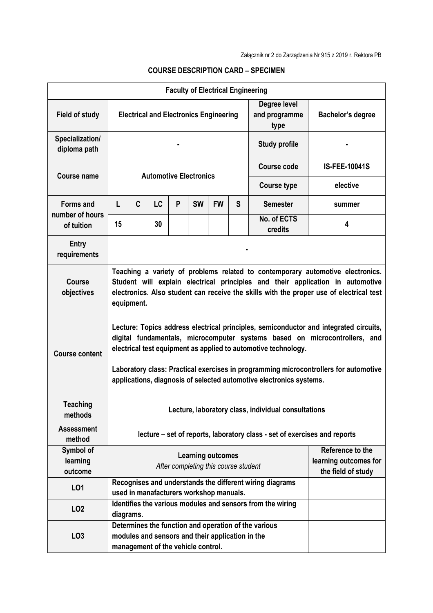| <b>Faculty of Electrical Engineering</b>          |                                                                                                                                                                                                                                                                                                                                                                                                      |   |           |   |           |           |   |                                       |                                                                 |
|---------------------------------------------------|------------------------------------------------------------------------------------------------------------------------------------------------------------------------------------------------------------------------------------------------------------------------------------------------------------------------------------------------------------------------------------------------------|---|-----------|---|-----------|-----------|---|---------------------------------------|-----------------------------------------------------------------|
| <b>Field of study</b>                             | <b>Electrical and Electronics Engineering</b>                                                                                                                                                                                                                                                                                                                                                        |   |           |   |           |           |   | Degree level<br>and programme<br>type | <b>Bachelor's degree</b>                                        |
| Specialization/<br>diploma path                   |                                                                                                                                                                                                                                                                                                                                                                                                      |   |           |   |           |           |   | <b>Study profile</b>                  |                                                                 |
| <b>Course name</b>                                | <b>Automotive Electronics</b>                                                                                                                                                                                                                                                                                                                                                                        |   |           |   |           |           |   | <b>Course code</b>                    | <b>IS-FEE-10041S</b>                                            |
|                                                   |                                                                                                                                                                                                                                                                                                                                                                                                      |   |           |   |           |           |   | <b>Course type</b>                    | elective                                                        |
| <b>Forms and</b><br>number of hours<br>of tuition | L                                                                                                                                                                                                                                                                                                                                                                                                    | C | <b>LC</b> | P | <b>SW</b> | <b>FW</b> | S | <b>Semester</b>                       | summer                                                          |
|                                                   | 15                                                                                                                                                                                                                                                                                                                                                                                                   |   | 30        |   |           |           |   | No. of ECTS<br>credits                | 4                                                               |
| <b>Entry</b><br>requirements                      |                                                                                                                                                                                                                                                                                                                                                                                                      |   |           |   |           |           |   |                                       |                                                                 |
| <b>Course</b><br>objectives                       | Teaching a variety of problems related to contemporary automotive electronics.<br>Student will explain electrical principles and their application in automotive<br>electronics. Also student can receive the skills with the proper use of electrical test<br>equipment.                                                                                                                            |   |           |   |           |           |   |                                       |                                                                 |
| <b>Course content</b>                             | Lecture: Topics address electrical principles, semiconductor and integrated circuits,<br>digital fundamentals, microcomputer systems based on microcontrollers, and<br>electrical test equipment as applied to automotive technology.<br>Laboratory class: Practical exercises in programming microcontrollers for automotive<br>applications, diagnosis of selected automotive electronics systems. |   |           |   |           |           |   |                                       |                                                                 |
| <b>Teaching</b><br>methods                        | Lecture, laboratory class, individual consultations                                                                                                                                                                                                                                                                                                                                                  |   |           |   |           |           |   |                                       |                                                                 |
| <b>Assessment</b><br>method                       | lecture - set of reports, laboratory class - set of exercises and reports                                                                                                                                                                                                                                                                                                                            |   |           |   |           |           |   |                                       |                                                                 |
| Symbol of<br>learning<br>outcome                  | <b>Learning outcomes</b><br>After completing this course student                                                                                                                                                                                                                                                                                                                                     |   |           |   |           |           |   |                                       | Reference to the<br>learning outcomes for<br>the field of study |
| LO1                                               | Recognises and understands the different wiring diagrams<br>used in manafacturers workshop manuals.                                                                                                                                                                                                                                                                                                  |   |           |   |           |           |   |                                       |                                                                 |
| LO <sub>2</sub>                                   | Identifies the various modules and sensors from the wiring<br>diagrams.                                                                                                                                                                                                                                                                                                                              |   |           |   |           |           |   |                                       |                                                                 |
| LO <sub>3</sub>                                   | Determines the function and operation of the various<br>modules and sensors and their application in the<br>management of the vehicle control.                                                                                                                                                                                                                                                       |   |           |   |           |           |   |                                       |                                                                 |

## **COURSE DESCRIPTION CARD – SPECIMEN**